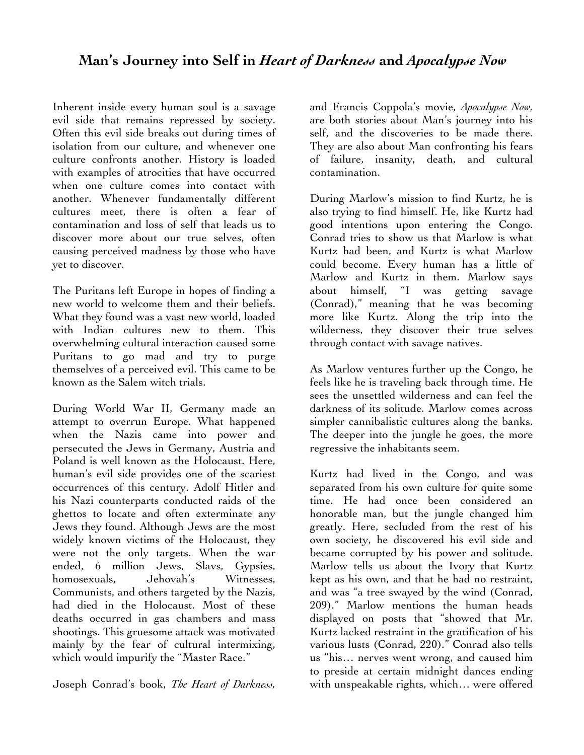Inherent inside every human soul is a savage evil side that remains repressed by society. Often this evil side breaks out during times of isolation from our culture, and whenever one culture confronts another. History is loaded with examples of atrocities that have occurred when one culture comes into contact with another. Whenever fundamentally different cultures meet, there is often a fear of contamination and loss of self that leads us to discover more about our true selves, often causing perceived madness by those who have yet to discover.

The Puritans left Europe in hopes of finding a new world to welcome them and their beliefs. What they found was a vast new world, loaded with Indian cultures new to them. This overwhelming cultural interaction caused some Puritans to go mad and try to purge themselves of a perceived evil. This came to be known as the Salem witch trials.

During World War II, Germany made an attempt to overrun Europe. What happened when the Nazis came into power and persecuted the Jews in Germany, Austria and Poland is well known as the Holocaust. Here, human's evil side provides one of the scariest occurrences of this century. Adolf Hitler and his Nazi counterparts conducted raids of the ghettos to locate and often exterminate any Jews they found. Although Jews are the most widely known victims of the Holocaust, they were not the only targets. When the war ended, 6 million Jews, Slavs, Gypsies, homosexuals, Jehovah's Witnesses, Communists, and others targeted by the Nazis, had died in the Holocaust. Most of these deaths occurred in gas chambers and mass shootings. This gruesome attack was motivated mainly by the fear of cultural intermixing, which would impurify the "Master Race."

Joseph Conrad's book, *The Heart of Darkness,*

and Francis Coppola's movie, *Apocalypse Now,* are both stories about Man's journey into his self, and the discoveries to be made there. They are also about Man confronting his fears of failure, insanity, death, and cultural contamination.

During Marlow's mission to find Kurtz, he is also trying to find himself. He, like Kurtz had good intentions upon entering the Congo. Conrad tries to show us that Marlow is what Kurtz had been, and Kurtz is what Marlow could become. Every human has a little of Marlow and Kurtz in them. Marlow says about himself, "I was getting savage (Conrad)," meaning that he was becoming more like Kurtz. Along the trip into the wilderness, they discover their true selves through contact with savage natives.

As Marlow ventures further up the Congo, he feels like he is traveling back through time. He sees the unsettled wilderness and can feel the darkness of its solitude. Marlow comes across simpler cannibalistic cultures along the banks. The deeper into the jungle he goes, the more regressive the inhabitants seem.

Kurtz had lived in the Congo, and was separated from his own culture for quite some time. He had once been considered an honorable man, but the jungle changed him greatly. Here, secluded from the rest of his own society, he discovered his evil side and became corrupted by his power and solitude. Marlow tells us about the Ivory that Kurtz kept as his own, and that he had no restraint, and was "a tree swayed by the wind (Conrad, 209)." Marlow mentions the human heads displayed on posts that "showed that Mr. Kurtz lacked restraint in the gratification of his various lusts (Conrad, 220)." Conrad also tells us "his… nerves went wrong, and caused him to preside at certain midnight dances ending with unspeakable rights, which… were offered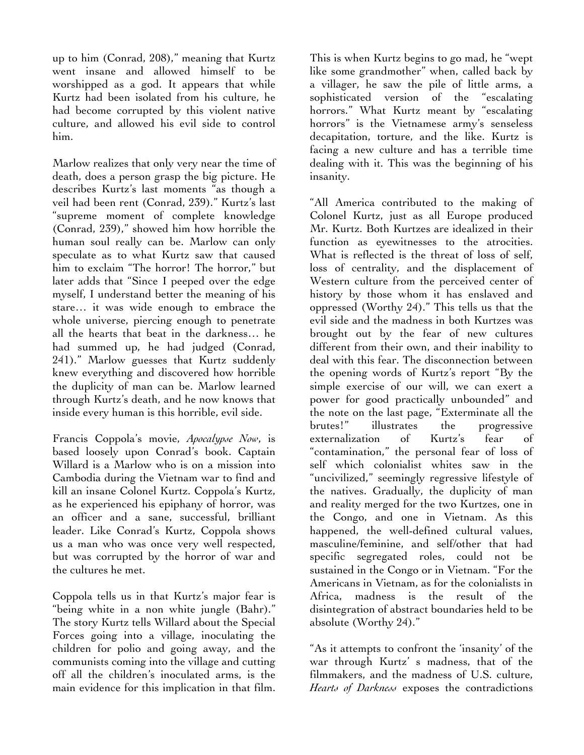up to him (Conrad, 208)," meaning that Kurtz went insane and allowed himself to be worshipped as a god. It appears that while Kurtz had been isolated from his culture, he had become corrupted by this violent native culture, and allowed his evil side to control him.

Marlow realizes that only very near the time of death, does a person grasp the big picture. He describes Kurtz's last moments "as though a veil had been rent (Conrad, 239)." Kurtz's last "supreme moment of complete knowledge (Conrad, 239)," showed him how horrible the human soul really can be. Marlow can only speculate as to what Kurtz saw that caused him to exclaim "The horror! The horror," but later adds that "Since I peeped over the edge myself, I understand better the meaning of his stare… it was wide enough to embrace the whole universe, piercing enough to penetrate all the hearts that beat in the darkness… he had summed up, he had judged (Conrad, 241)." Marlow guesses that Kurtz suddenly knew everything and discovered how horrible the duplicity of man can be. Marlow learned through Kurtz's death, and he now knows that inside every human is this horrible, evil side.

Francis Coppola's movie, *Apocalypse Now*, is based loosely upon Conrad's book. Captain Willard is a Marlow who is on a mission into Cambodia during the Vietnam war to find and kill an insane Colonel Kurtz. Coppola's Kurtz, as he experienced his epiphany of horror, was an officer and a sane, successful, brilliant leader. Like Conrad's Kurtz, Coppola shows us a man who was once very well respected, but was corrupted by the horror of war and the cultures he met.

Coppola tells us in that Kurtz's major fear is "being white in a non white jungle (Bahr)." The story Kurtz tells Willard about the Special Forces going into a village, inoculating the children for polio and going away, and the communists coming into the village and cutting off all the children's inoculated arms, is the main evidence for this implication in that film.

This is when Kurtz begins to go mad, he "wept like some grandmother" when, called back by a villager, he saw the pile of little arms, a sophisticated version of the "escalating horrors." What Kurtz meant by "escalating horrors" is the Vietnamese army's senseless decapitation, torture, and the like. Kurtz is facing a new culture and has a terrible time dealing with it. This was the beginning of his insanity.

"All America contributed to the making of Colonel Kurtz, just as all Europe produced Mr. Kurtz. Both Kurtzes are idealized in their function as eyewitnesses to the atrocities. What is reflected is the threat of loss of self, loss of centrality, and the displacement of Western culture from the perceived center of history by those whom it has enslaved and oppressed (Worthy 24)." This tells us that the evil side and the madness in both Kurtzes was brought out by the fear of new cultures different from their own, and their inability to deal with this fear. The disconnection between the opening words of Kurtz's report "By the simple exercise of our will, we can exert a power for good practically unbounded" and the note on the last page, "Exterminate all the brutes!" illustrates the progressive externalization of Kurtz's fear of "contamination," the personal fear of loss of self which colonialist whites saw in the "uncivilized," seemingly regressive lifestyle of the natives. Gradually, the duplicity of man and reality merged for the two Kurtzes, one in the Congo, and one in Vietnam. As this happened, the well-defined cultural values, masculine/feminine, and self/other that had specific segregated roles, could not be sustained in the Congo or in Vietnam. "For the Americans in Vietnam, as for the colonialists in Africa, madness is the result of the disintegration of abstract boundaries held to be absolute (Worthy 24)."

"As it attempts to confront the 'insanity' of the war through Kurtz' s madness, that of the filmmakers, and the madness of U.S. culture, *Hearts of Darkness* exposes the contradictions